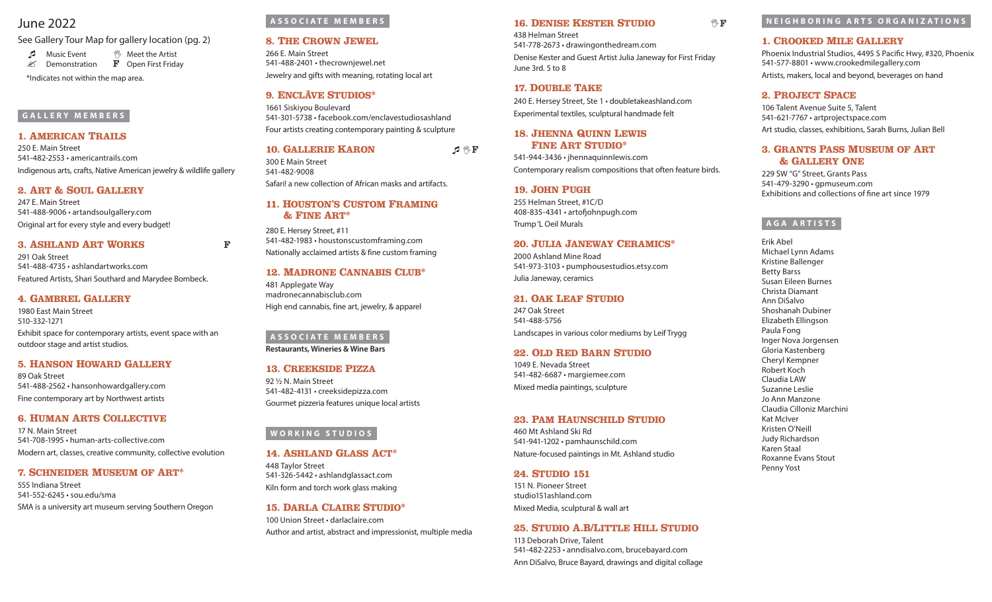# June 2022

See Gallery Tour Map for gallery location (pg. 2)

**A** Music Event  $\mathbb{V}$  Meet the Artist<br>  $\mathscr{L}$  Demonstration **F** Open First Fridav  $\mathscr{L}$  Demonstration

\*Indicates not within the map area.

### **GALLERY MEMBERS**

### **1. American Trails**

250 E. Main Street 541-482-2553 • americantrails.com Indigenous arts, crafts, Native American jewelry & wildlife gallery

### **2. Art & Soul Gallery**

247 E. Main Street 541-488-9006 • artandsoulgallery.com Original art for every style and every budget!

### **3. Ashland Art Works** F

291 Oak Street 541-488-4735 • ashlandartworks.com Featured Artists, Shari Southard and Marydee Bombeck.

### **4. Gambrel Gallery**

1980 East Main Street 510-332-1271 Exhibit space for contemporary artists, event space with an outdoor stage and artist studios.

### **5. Hanson Howard Gallery**

89 Oak Street 541-488-2562 • hansonhowardgallery.com Fine contemporary art by Northwest artists

### **6. Human Arts Collective**

17 N. Main Street 541-708-1995 • human-arts-collective.com Modern art, classes, creative community, collective evolution

### **7. Schneider Museum of Art\***

555 Indiana Street 541-552-6245 • sou.edu/sma SMA is a university art museum serving Southern Oregon

### **ASSOCIATE MEMBERS**

### **8. The Crown Jewel**

266 E. Main Street 541-488-2401 • thecrownjewel.net Jewelry and gifts with meaning, rotating local art

### **9. ENCLĀVE STUDIOS\***

1661 Siskiyou Boulevard 541-301-5738 • facebook.com/enclavestudiosashland Four artists creating contemporary painting & sculpture

### **10. GALLERIE KARON**  $\mathcal{P} \mathscr{C}$  F

300 E Main Street 541-482-9008

## Safari! a new collection of African masks and artifacts.

### **11. Houston's Custom Framing & Fine Art\***

280 E. Hersey Street, #11 541-482-1983 • houstonscustomframing.com Nationally acclaimed artists & fine custom framing

### **12. Madrone Cannabis Club\***

481 Applegate Way madronecannabisclub.com High end cannabis, fine art, jewelry, & apparel

### **ASSOCIATE MEMBERS Restaurants, Wineries & Wine Bars**

### **13. Creekside Pizza**

92 ½ N. Main Street 541-482-4131 • creeksidepizza.com Gourmet pizzeria features unique local artists

### **WORKING STUDIOS**

### **14. Ashland Glass Act\***

448 Taylor Street 541-326-5442 • ashlandglassact.com Kiln form and torch work glass making

### **15. Darla Claire Studio\*** 100 Union Street • darlaclaire.com Author and artist, abstract and impressionist, multiple media

### **16. DENISE KESTER STUDIO**  $\sqrt{\mathbb{F}}$  **F**

438 Helman Street 541-778-2673 • drawingonthedream.com Denise Kester and Guest Artist Julia Janeway for First Friday June 3rd. 5 to 8

### **17. DOUBLE TAKE**

240 E. Hersey Street, Ste 1 • doubletakeashland.com Experimental textiles, sculptural handmade felt

### **18. Jhenna Quinn Lewis Fine Art Studio\***

541-944-3436 • jhennaquinnlewis.com Contemporary realism compositions that often feature birds.

### **19. John Pugh**

255 Helman Street, #1C/D 408-835-4341 • artofjohnpugh.com Trump 'L Oeil Murals

### **20. Julia Janeway Ceramics\***

2000 Ashland Mine Road 541-973-3103 • pumphousestudios.etsy.com Julia Janeway, ceramics

#### **21. Oak Leaf Studio**

247 Oak Street 541-488-5756 Landscapes in various color mediums by Leif Trygg

### **22. Old Red Barn Studio**

1049 E. Nevada Street 541-482-6687 • margiemee.com Mixed media paintings, sculpture

### **23. Pam Haunschild Studio**

460 Mt Ashland Ski Rd 541-941-1202 • pamhaunschild.com Nature-focused paintings in Mt. Ashland studio

### **24. Studio 151**

151 N. Pioneer Street studio151ashland.com Mixed Media, sculptural & wall art

### **25. Studio A.B/Little Hill Studio**

113 Deborah Drive, Talent 541-482-2253 • anndisalvo.com, brucebayard.com Ann DiSalvo, Bruce Bayard, drawings and digital collage

### **NEIGHBORING ARTS ORGANIZATIONS**

#### **1. Crooked Mile Gallery**

Phoenix Industrial Studios, 4495 S Pacific Hwy, #320, Phoenix 541-577-8801 • www.crookedmilegallery.com Artists, makers, local and beyond, beverages on hand

### **2. Project Space**

106 Talent Avenue Suite 5, Talent 541-621-7767 • artprojectspace.com Art studio, classes, exhibitions, Sarah Burns, Julian Bell

### **3. Grants Pass Museum of Art & Gallery One**

229 SW "G" Street, Grants Pass 541-479-3290 • gpmuseum.com Exhibitions and collections of fine art since 1979

### **AGA ARTISTS**

Erik Abel Michael Lynn Adams Kristine Ballenger Betty Barss Susan Eileen Burnes Christa Diamant Ann DiSalvo Shoshanah Dubiner Elizabeth Ellingson Paula Fong Inger Nova Jorgensen Gloria Kastenberg Cheryl Kempner Robert Koch Claudia LAW Suzanne Leslie Jo Ann Manzone Claudia Cilloniz Marchini Kat McIver Kristen O'Neill Judy Richardson Karen Staal Roxanne Evans Stout Penny Yost